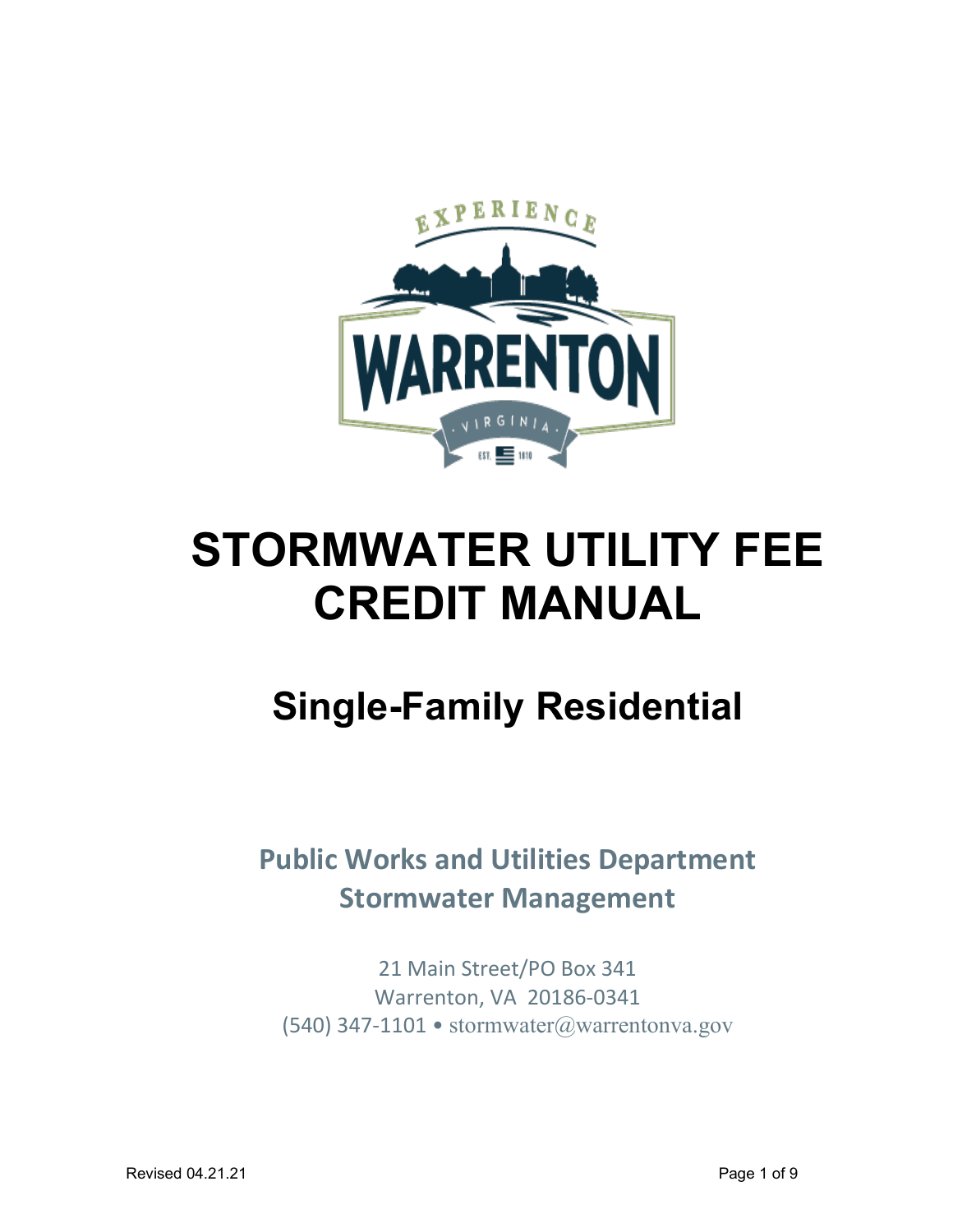

# **STORMWATER UTILITY FEE CREDIT MANUAL**

# **Single-Family Residential**

**Public Works and Utilities Department Stormwater Management**

21 Main Street/PO Box 341 Warrenton, VA 20186-0341 (540) 347-1101 • [stormwater@warrentonva.gov](mailto:stormwater@warrentonva.gov)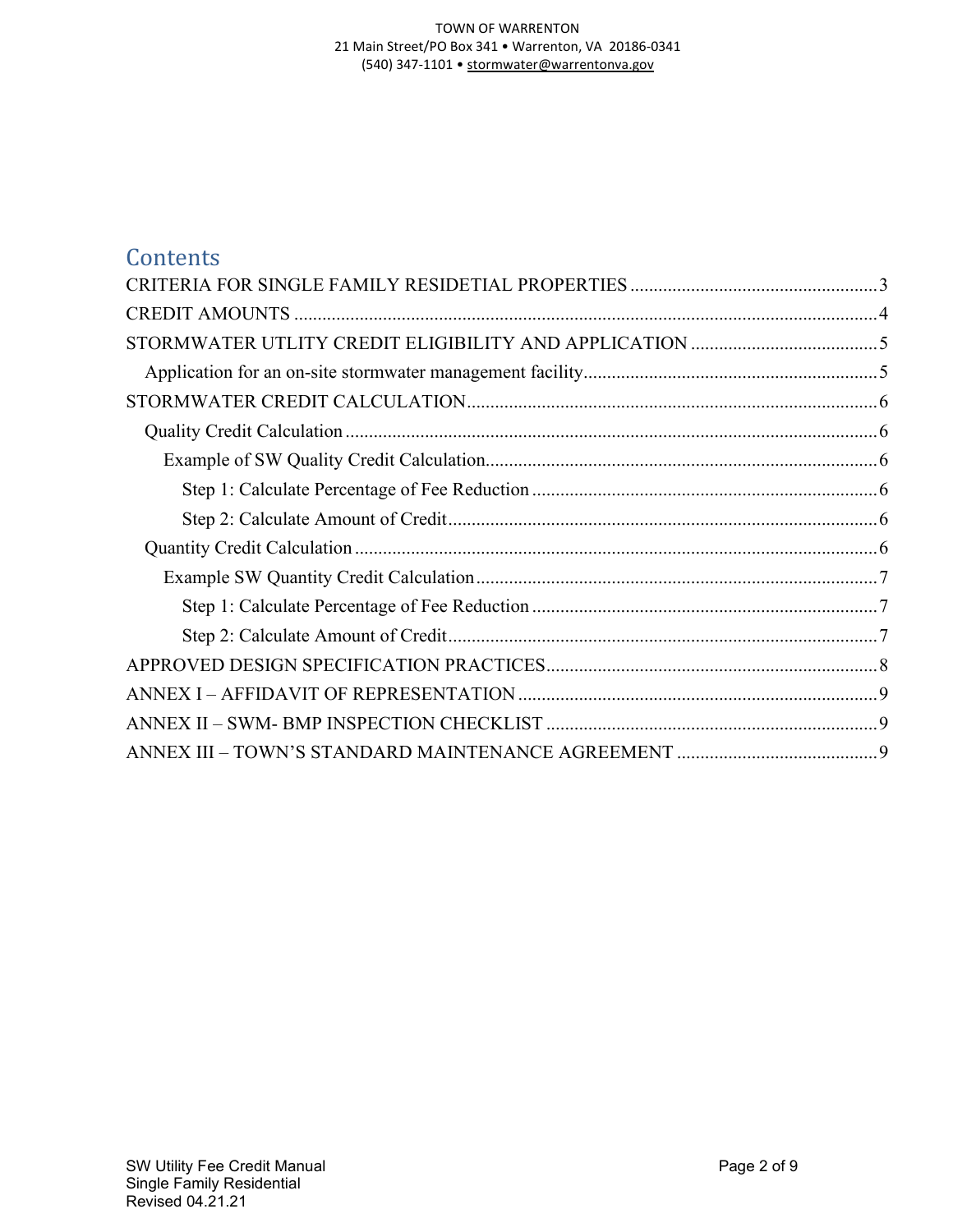#### TOWN OF WARRENTON 21 Main Street/PO Box 341 • Warrenton, VA 20186-0341 (540) 347-1101 • [stormwater@warrentonva.gov](mailto:stormwater@warrentonva.gov)

## **Contents**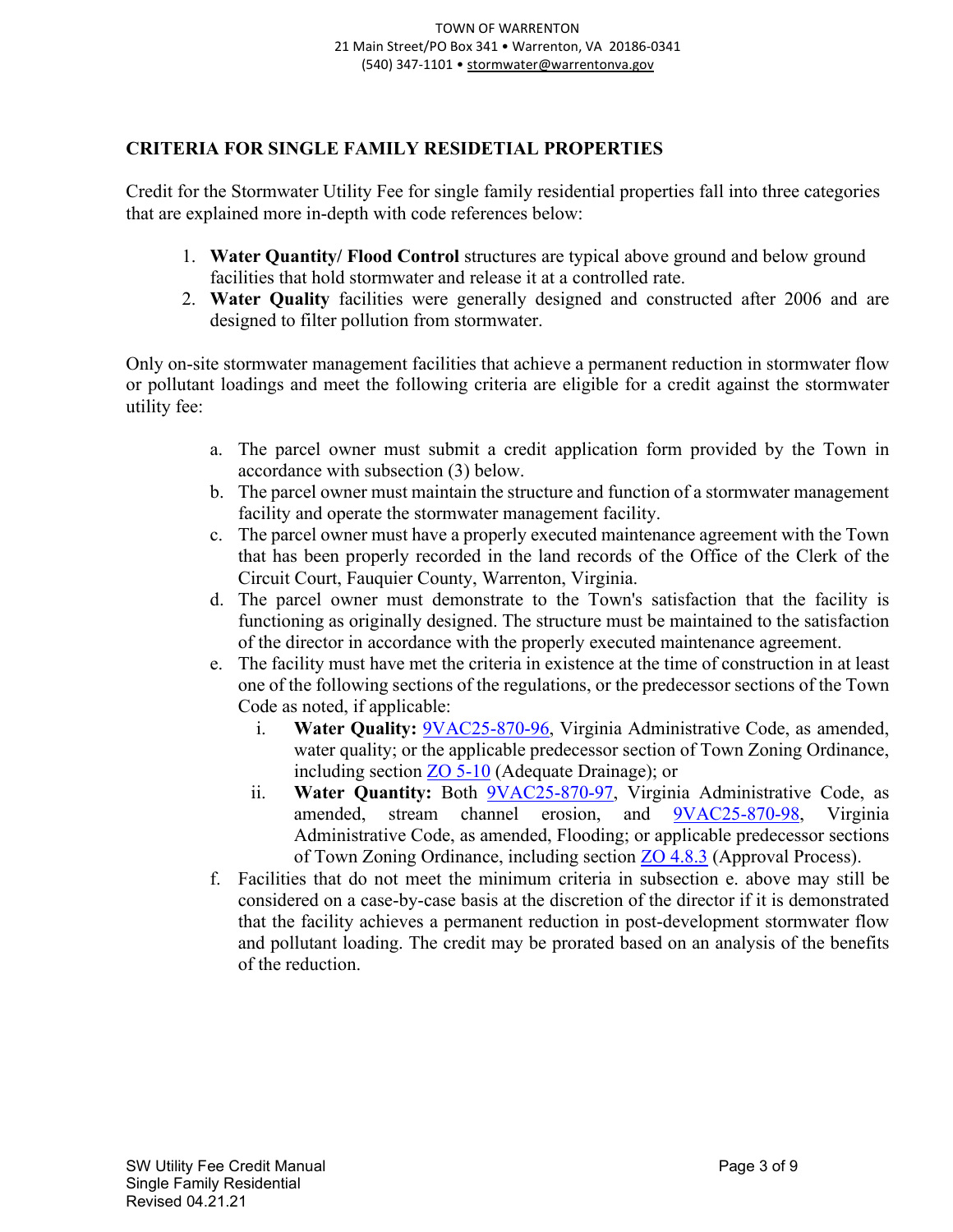#### <span id="page-2-0"></span>**CRITERIA FOR SINGLE FAMILY RESIDETIAL PROPERTIES**

Credit for the Stormwater Utility Fee for single family residential properties fall into three categories that are explained more in-depth with code references below:

- 1. **Water Quantity/ Flood Control** structures are typical above ground and below ground facilities that hold stormwater and release it at a controlled rate.
- 2. **Water Quality** facilities were generally designed and constructed after 2006 and are designed to filter pollution from stormwater.

Only on-site stormwater management facilities that achieve a permanent reduction in stormwater flow or pollutant loadings and meet the following criteria are eligible for a credit against the stormwater utility fee:

- a. The parcel owner must submit a credit application form provided by the Town in accordance with subsection (3) below.
- b. The parcel owner must maintain the structure and function of a stormwater management facility and operate the stormwater management facility.
- c. The parcel owner must have a properly executed maintenance agreement with the Town that has been properly recorded in the land records of the Office of the Clerk of the Circuit Court, Fauquier County, Warrenton, Virginia.
- d. The parcel owner must demonstrate to the Town's satisfaction that the facility is functioning as originally designed. The structure must be maintained to the satisfaction of the director in accordance with the properly executed maintenance agreement.
- e. The facility must have met the criteria in existence at the time of construction in at least one of the following sections of the regulations, or the predecessor sections of the Town Code as noted, if applicable:
	- i. **Water Quality:** [9VAC25-870-96,](https://lis.virginia.gov/cgi-bin/legp604.exe?000+reg+9VAC25-870-96) Virginia Administrative Code, as amended, water quality; or the applicable predecessor section of Town Zoning Ordinance, including section [ZO 5-10](https://cms.revize.com/revize/warrenton/document_center/Planning/Article%205%20Stormwater%20Management%2012.10.19.pdf) (Adequate Drainage); or
	- ii. **Water Quantity:** Both **9VAC25-870-97**, Virginia Administrative Code, as amended, stream channel erosion, and [9VAC25-870-98,](https://law.lis.virginia.gov/admincode/title9/agency25/chapter870/section98/) Virginia Administrative Code, as amended, Flooding; or applicable predecessor sections of Town Zoning Ordinance, including section [ZO 4.8.3](https://cms.revize.com/revize/warrenton/document_center/Planning/Article%204%20Site%20Conservation%20Manual%2012.10.19.pdf) (Approval Process).
- f. Facilities that do not meet the minimum criteria in subsection e. above may still be considered on a case-by-case basis at the discretion of the director if it is demonstrated that the facility achieves a permanent reduction in post-development stormwater flow and pollutant loading. The credit may be prorated based on an analysis of the benefits of the reduction.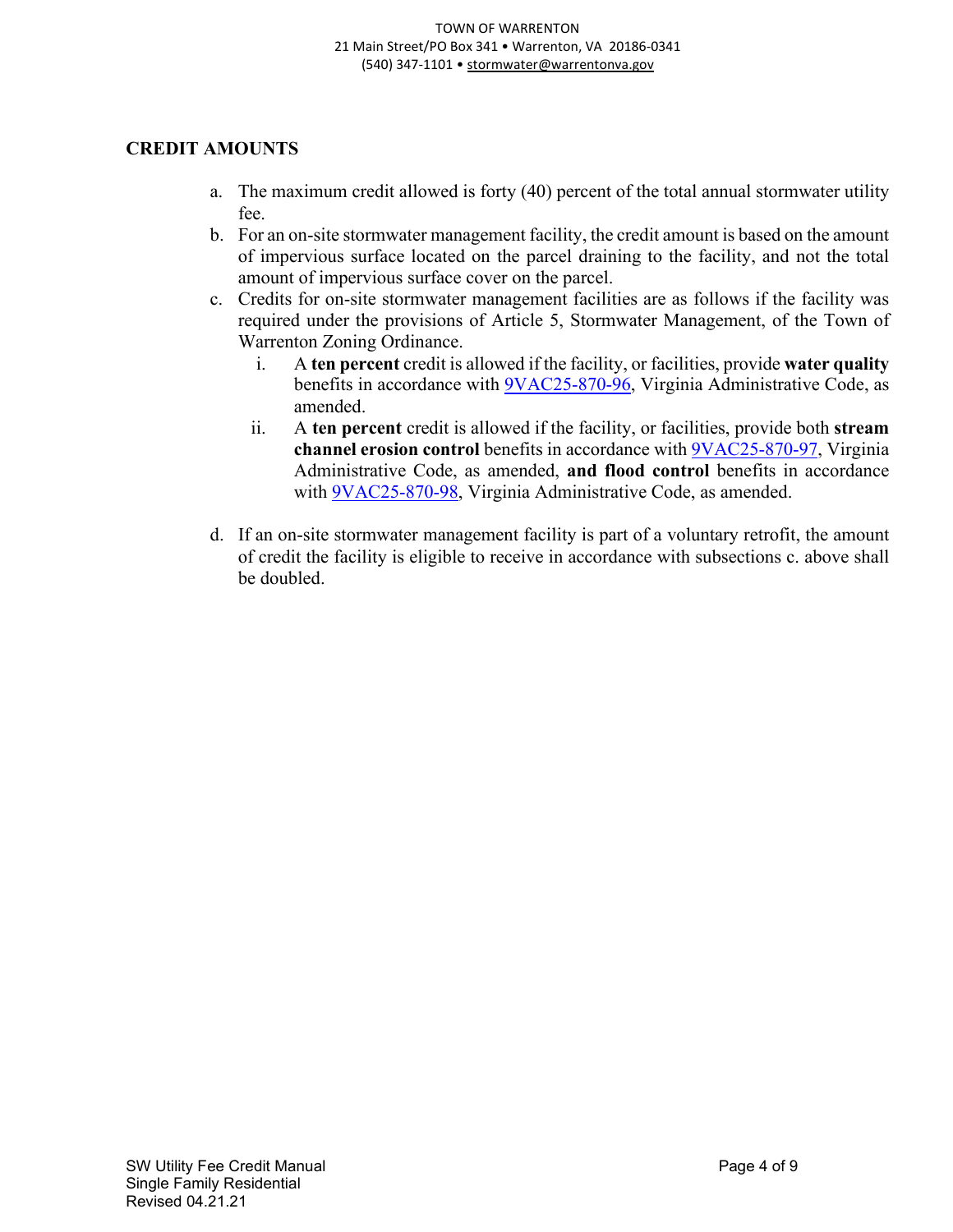#### <span id="page-3-0"></span>**CREDIT AMOUNTS**

- a. The maximum credit allowed is forty (40) percent of the total annual stormwater utility fee.
- b. For an on-site stormwater management facility, the credit amount is based on the amount of impervious surface located on the parcel draining to the facility, and not the total amount of impervious surface cover on the parcel.
- c. Credits for on-site stormwater management facilities are as follows if the facility was required under the provisions of Article 5, Stormwater Management, of the Town of Warrenton Zoning Ordinance.
	- i. A **ten percent** credit is allowed if the facility, or facilities, provide **water quality** benefits in accordance with [9VAC25-870-96,](https://lis.virginia.gov/cgi-bin/legp604.exe?000+reg+9VAC25-870-96) Virginia Administrative Code, as amended.
	- ii. A **ten percent** credit is allowed if the facility, or facilities, provide both **stream channel erosion control** benefits in accordance with [9VAC25-870-97,](https://law.lis.virginia.gov/admincode/title9/agency25/chapter870/section97/) Virginia Administrative Code, as amended, **and flood control** benefits in accordance with [9VAC25-870-98,](https://law.lis.virginia.gov/admincode/title9/agency25/chapter870/section98/) Virginia Administrative Code, as amended.
- d. If an on-site stormwater management facility is part of a voluntary retrofit, the amount of credit the facility is eligible to receive in accordance with subsections c. above shall be doubled.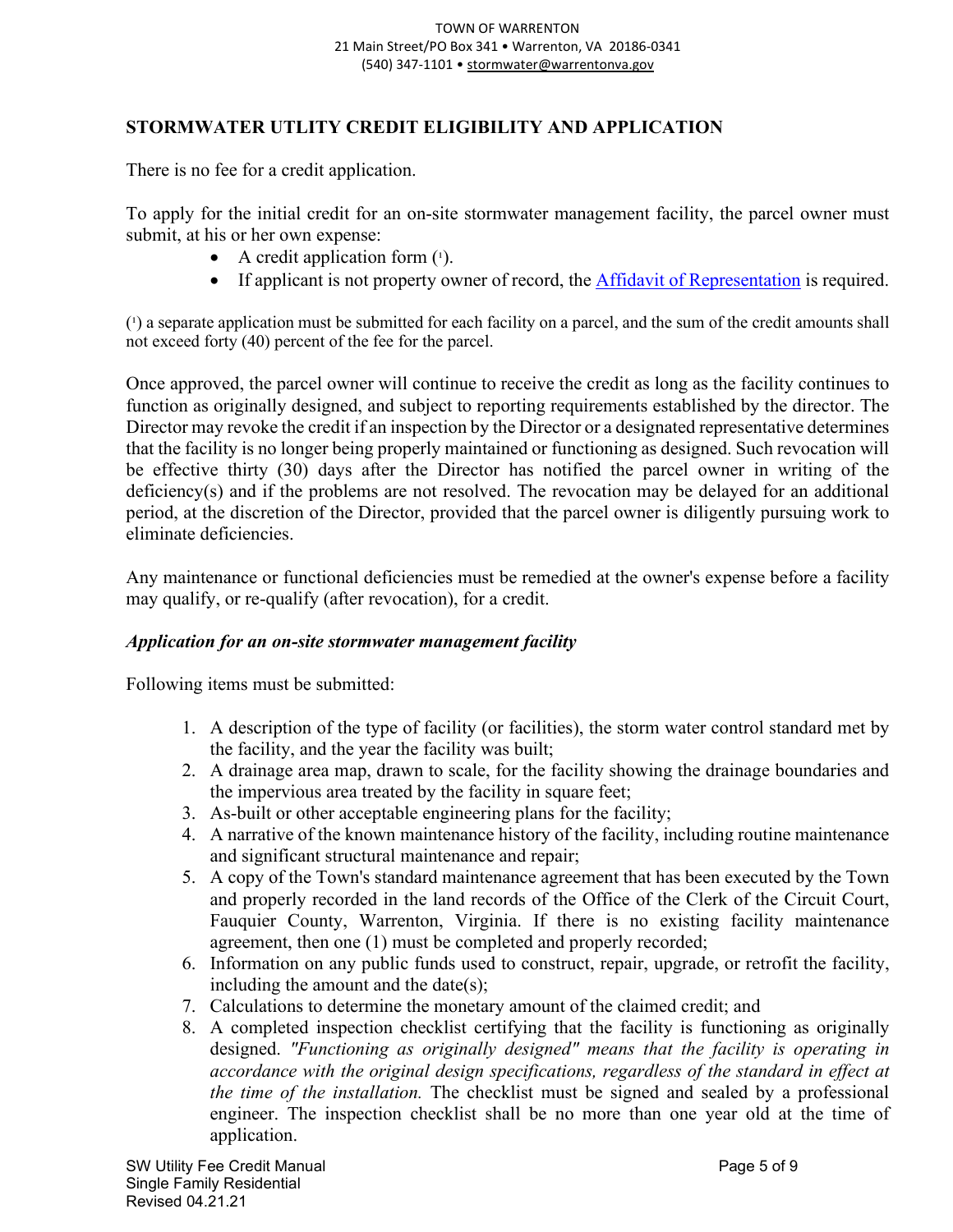#### <span id="page-4-0"></span>**STORMWATER UTLITY CREDIT ELIGIBILITY AND APPLICATION**

There is no fee for a credit application.

To apply for the initial credit for an on-site stormwater management facility, the parcel owner must submit, at his or her own expense:

- A credit application form  $(1)$ .
- If applicant is not property owner of record, the [Affidavit of Representation](https://cms.revize.com/revize/warrenton/document_center/Planning/Affidavit%20Form.pdf) is required.

 $(1)$  a separate application must be submitted for each facility on a parcel, and the sum of the credit amounts shall not exceed forty (40) percent of the fee for the parcel.

Once approved, the parcel owner will continue to receive the credit as long as the facility continues to function as originally designed, and subject to reporting requirements established by the director. The Director may revoke the credit if an inspection by the Director or a designated representative determines that the facility is no longer being properly maintained or functioning as designed. Such revocation will be effective thirty (30) days after the Director has notified the parcel owner in writing of the deficiency(s) and if the problems are not resolved. The revocation may be delayed for an additional period, at the discretion of the Director, provided that the parcel owner is diligently pursuing work to eliminate deficiencies.

Any maintenance or functional deficiencies must be remedied at the owner's expense before a facility may qualify, or re-qualify (after revocation), for a credit.

#### <span id="page-4-1"></span>*Application for an on-site stormwater management facility*

Following items must be submitted:

- 1. A description of the type of facility (or facilities), the storm water control standard met by the facility, and the year the facility was built;
- 2. A drainage area map, drawn to scale, for the facility showing the drainage boundaries and the impervious area treated by the facility in square feet;
- 3. As-built or other acceptable engineering plans for the facility;
- 4. A narrative of the known maintenance history of the facility, including routine maintenance and significant structural maintenance and repair;
- 5. A copy of the Town's standard maintenance agreement that has been executed by the Town and properly recorded in the land records of the Office of the Clerk of the Circuit Court, Fauquier County, Warrenton, Virginia. If there is no existing facility maintenance agreement, then one (1) must be completed and properly recorded;
- 6. Information on any public funds used to construct, repair, upgrade, or retrofit the facility, including the amount and the date(s);
- 7. Calculations to determine the monetary amount of the claimed credit; and
- 8. A completed inspection checklist certifying that the facility is functioning as originally designed. *"Functioning as originally designed" means that the facility is operating in accordance with the original design specifications, regardless of the standard in effect at the time of the installation.* The checklist must be signed and sealed by a professional engineer. The inspection checklist shall be no more than one year old at the time of application.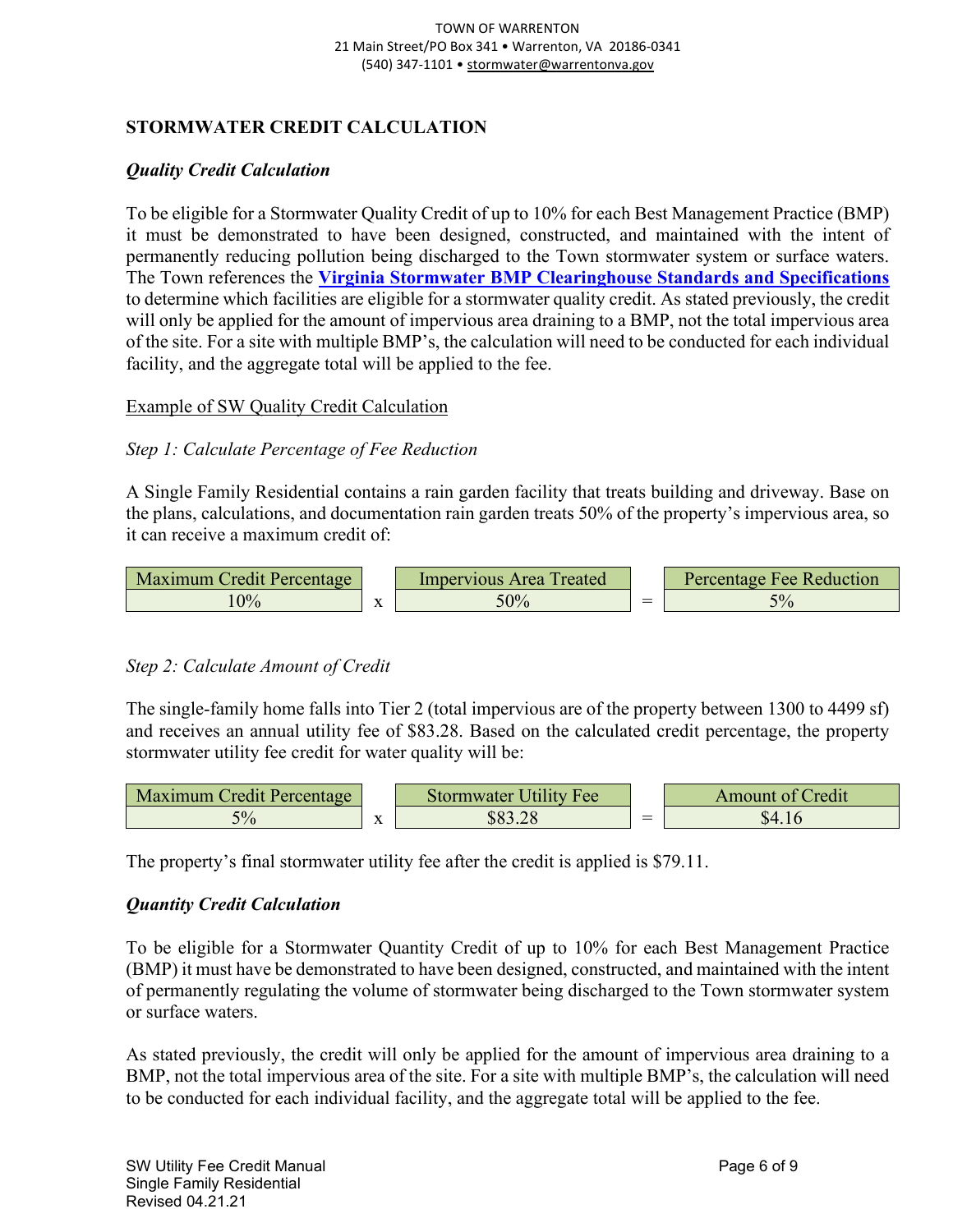#### <span id="page-5-0"></span>**STORMWATER CREDIT CALCULATION**

#### <span id="page-5-1"></span>*Quality Credit Calculation*

To be eligible for a Stormwater Quality Credit of up to 10% for each Best Management Practice (BMP) it must be demonstrated to have been designed, constructed, and maintained with the intent of permanently reducing pollution being discharged to the Town stormwater system or surface waters. The Town references the **[Virginia Stormwater BMP Clearinghouse Standards and Specifications](https://swbmp.vwrrc.vt.edu/references-tools/2013-draft-handbook/)** to determine which facilities are eligible for a stormwater quality credit. As stated previously, the credit will only be applied for the amount of impervious area draining to a BMP, not the total impervious area of the site. For a site with multiple BMP's, the calculation will need to be conducted for each individual facility, and the aggregate total will be applied to the fee.

<span id="page-5-2"></span>Example of SW Quality Credit Calculation

#### <span id="page-5-3"></span>*Step 1: Calculate Percentage of Fee Reduction*

A Single Family Residential contains a rain garden facility that treats building and driveway. Base on the plans, calculations, and documentation rain garden treats 50% of the property's impervious area, so it can receive a maximum credit of:



#### <span id="page-5-4"></span>*Step 2: Calculate Amount of Credit*

The single-family home falls into Tier 2 (total impervious are of the property between 1300 to 4499 sf) and receives an annual utility fee of \$83.28. Based on the calculated credit percentage, the property stormwater utility fee credit for water quality will be:



The property's final stormwater utility fee after the credit is applied is \$79.11.

#### <span id="page-5-5"></span>*Quantity Credit Calculation*

To be eligible for a Stormwater Quantity Credit of up to 10% for each Best Management Practice (BMP) it must have be demonstrated to have been designed, constructed, and maintained with the intent of permanently regulating the volume of stormwater being discharged to the Town stormwater system or surface waters.

As stated previously, the credit will only be applied for the amount of impervious area draining to a BMP, not the total impervious area of the site. For a site with multiple BMP's, the calculation will need to be conducted for each individual facility, and the aggregate total will be applied to the fee.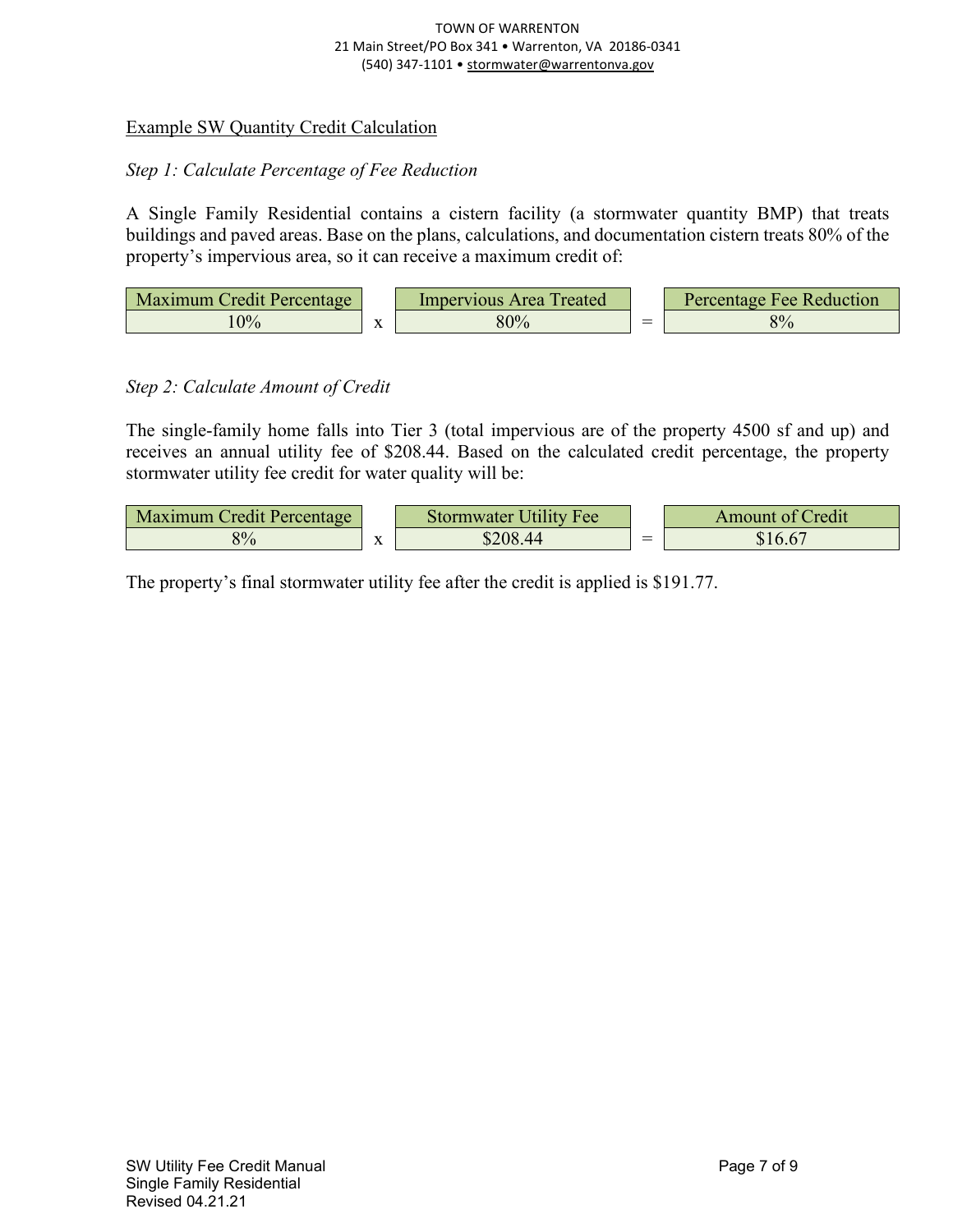#### TOWN OF WARRENTON 21 Main Street/PO Box 341 • Warrenton, VA 20186-0341 (540) 347-1101 • [stormwater@warrentonva.gov](mailto:stormwater@warrentonva.gov)

#### <span id="page-6-0"></span>Example SW Quantity Credit Calculation

#### <span id="page-6-1"></span>*Step 1: Calculate Percentage of Fee Reduction*

A Single Family Residential contains a cistern facility (a stormwater quantity BMP) that treats buildings and paved areas. Base on the plans, calculations, and documentation cistern treats 80% of the property's impervious area, so it can receive a maximum credit of:

| Maximum Credit Percentage |           | Impervious Area Treated |                                    | <b>Percentage Fee Reduction</b> |
|---------------------------|-----------|-------------------------|------------------------------------|---------------------------------|
| 9%                        | $\Lambda$ | 80%                     | $\sim$<br>$\overline{\phantom{a}}$ | 8%                              |

#### <span id="page-6-2"></span>*Step 2: Calculate Amount of Credit*

The single-family home falls into Tier 3 (total impervious are of the property 4500 sf and up) and receives an annual utility fee of \$208.44. Based on the calculated credit percentage, the property stormwater utility fee credit for water quality will be:

| Maximum Credit Percentage |                           | <b>Stormwater Utility Fee</b> | <b>Amount of Credit</b> |
|---------------------------|---------------------------|-------------------------------|-------------------------|
| 8%                        | $\mathbf{v}$<br>$\Lambda$ | 208.44                        |                         |

The property's final stormwater utility fee after the credit is applied is \$191.77.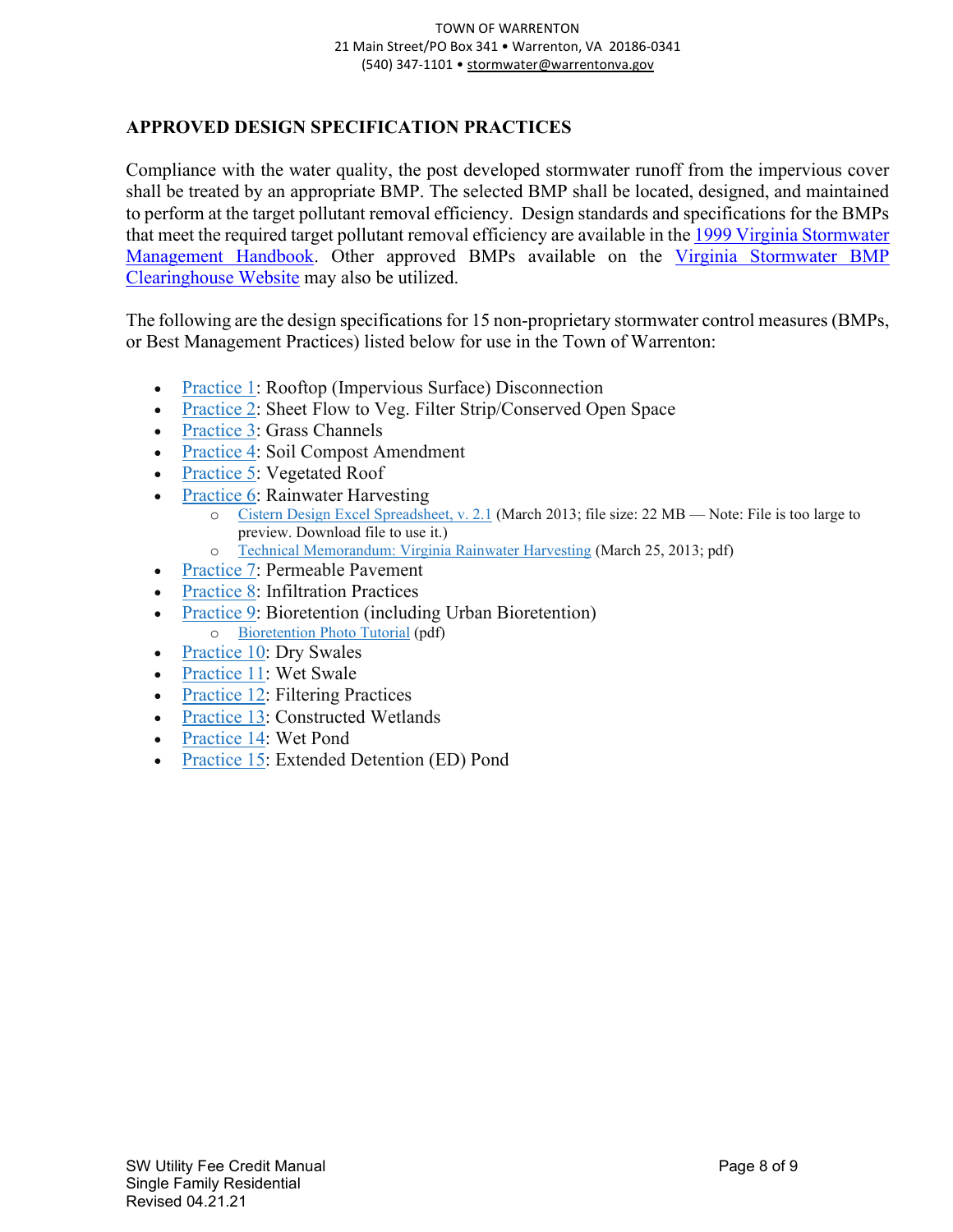#### <span id="page-7-0"></span>**APPROVED DESIGN SPECIFICATION PRACTICES**

Compliance with the water quality, the post developed stormwater runoff from the impervious cover shall be treated by an appropriate BMP. The selected BMP shall be located, designed, and maintained to perform at the target pollutant removal efficiency. Design standards and specifications for the BMPs that meet the required target pollutant removal efficiency are available in the [1999 Virginia Stormwater](https://sswm.info/sites/default/files/reference_attachments/DCR%201999.%20Virginia%20Stormwater%20Management%20Handbook.pdf)  [Management Handbook.](https://sswm.info/sites/default/files/reference_attachments/DCR%201999.%20Virginia%20Stormwater%20Management%20Handbook.pdf) Other approved BMPs available on the Virginia Stormwater BMP [Clearinghouse Website](https://swbmp.vwrrc.vt.edu/) may also be utilized.

The following are the design specifications for 15 non-proprietary stormwater control measures (BMPs, or Best Management Practices) listed below for use in the Town of Warrenton:

- [Practice](https://swbmpvwrrc.wp.prod.es.cloud.vt.edu/wp-content/uploads/2017/11/BMP-Spec-No-1_DISCONNECTION_v1-9_03012011.pdf) 1: Rooftop (Impervious Surface) Disconnection
- [Practice](http://www.swbmp.vwrrc.vt.edu/wp-content/uploads/2017/11/BMP-Spec-No-2_SHEET-FLOW_v1-9_03012011.pdf) 2: Sheet Flow to Veg. Filter Strip/Conserved Open Space
- [Practice](https://swbmpvwrrc.wp.prod.es.cloud.vt.edu/wp-content/uploads/2017/11/BMP-Spec-No-3_GRASS-CHANNELS_v1-9_03012011.pdf) 3: Grass Channels
- [Practice](https://swbmpvwrrc.wp.prod.es.cloud.vt.edu/wp-content/uploads/2017/11/BMP-Spec-No-4_SOIL-AMENDMENT_v1-9_11282016.pdf) 4: Soil Compost Amendment
- [Practice](https://swbmpvwrrc.wp.prod.es.cloud.vt.edu/wp-content/uploads/2017/11/BMP-Spec-No-5_VEGETATED-ROOF_v2-3_03012011.pdf) 5: Vegetated Roof
- [Practice](http://www.swbmp.vwrrc.vt.edu/wp-content/uploads/2017/11/BMP-Spec-No-6_RAINWATER-HARVESTING_v1-9-5_03012011.pdf) 6: Rainwater Harvesting
	- o Cistern Design Excel [Spreadsheet,](https://drive.google.com/file/d/1n1m76G4ils24FGt_QvZTJesqZeUTJQ5J/view?usp=sharing) v. 2.1 (March 2013; file size: 22 MB Note: File is too large to preview. Download file to use it.)
		- o Technical [Memorandum:](https://swbmpvwrrc.wp.prod.es.cloud.vt.edu/wp-content/uploads/2017/12/Technical-Memorandum_VA-CDS-spreadsheet_Mar-25_2013.pdf) Virginia Rainwater Harvesting (March 25, 2013; pdf)
- [Practice](https://swbmpvwrrc.wp.prod.es.cloud.vt.edu/wp-content/uploads/2017/11/BMP-Spec-No-7_PERMEABLE-PAVEMENT_v1-8_03012011.pdf) 7: Permeable Pavement
- [Practice](https://swbmpvwrrc.wp.prod.es.cloud.vt.edu/wp-content/uploads/2017/11/BMP-Spec-No-8_INFILTRATION_v1-9_03012011.pdf) 8: Infiltration Practices
- [Practice](https://swbmpvwrrc.wp.prod.es.cloud.vt.edu/wp-content/uploads/2017/11/BMP-Spec-No-9_BIORETENTION_v1-9_03012011.pdf) 9: Bioretention (including Urban Bioretention) o [Bioretention](https://swbmpvwrrc.wp.prod.es.cloud.vt.edu/wp-content/uploads/2017/11/BMP-Spec-No-9_BIORETENTION_Photo-Tutorial_v1-0_07022009.pdf) Photo Tutorial (pdf)
- [Practice](https://swbmpvwrrc.wp.prod.es.cloud.vt.edu/wp-content/uploads/2017/11/BMP-Spec-No-10_DRY-SWALE_v1-9_03012011.pdf) 10: Dry Swales
- [Practice](https://swbmpvwrrc.wp.prod.es.cloud.vt.edu/wp-content/uploads/2017/11/BMP-Spec-No-11_WET-SWALE-_v1-9_03012011.pdf) 11: Wet Swale
- [Practice](http://www.swbmp.vwrrc.vt.edu/wp-content/uploads/2017/11/BMP-Spec-No-12_FILTERING-PRACTICES_v1-8_03012011.pdf) 12: Filtering Practices
- [Practice](https://swbmpvwrrc.wp.prod.es.cloud.vt.edu/wp-content/uploads/2017/11/BMP-Spec-No-13_CONSTRUCTED-WETLAND_v1-9_03012011.pdf) 13: Constructed Wetlands
- [Practice](https://swbmpvwrrc.wp.prod.es.cloud.vt.edu/wp-content/uploads/2017/11/BMP-Spec-No-14_WET-PONDS_v1-9_05112015.pdf) 14: Wet Pond
- [Practice](https://swbmpvwrrc.wp.prod.es.cloud.vt.edu/wp-content/uploads/2017/11/BMP-Spec-No-15_EXT-DETENTION-POND_v1-9_03012011.pdf) 15: Extended Detention (ED) Pond